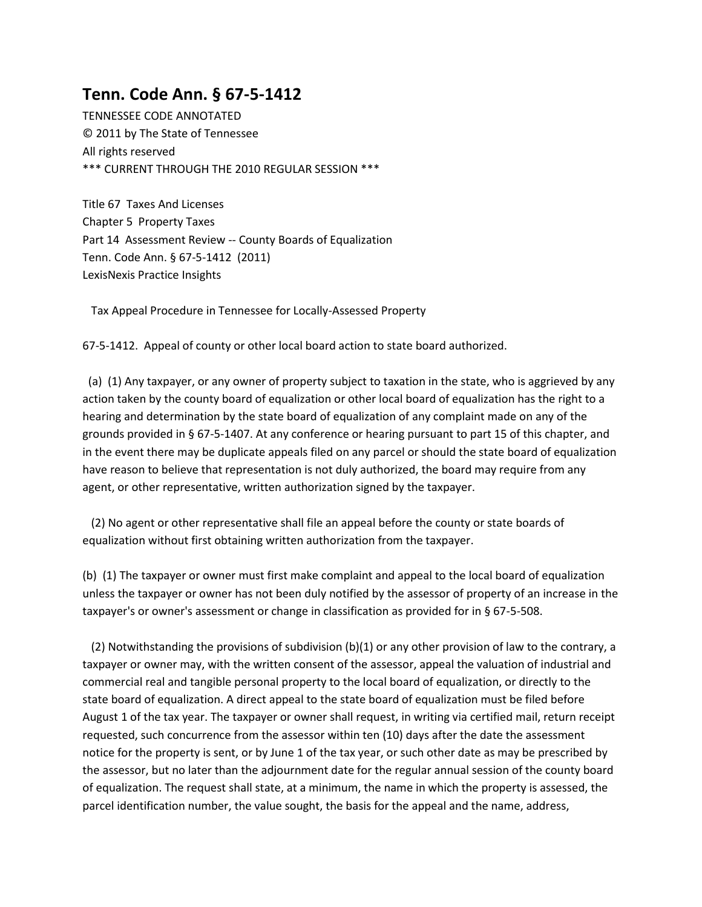## **Tenn. Code Ann. § 67-5-1412**

TENNESSEE CODE ANNOTATED © 2011 by The State of Tennessee All rights reserved \*\*\* CURRENT THROUGH THE 2010 REGULAR SESSION \*\*\*

Title 67 Taxes And Licenses Chapter 5 Property Taxes Part 14 Assessment Review -- County Boards of Equalization Tenn. Code Ann. § 67-5-1412 (2011) LexisNexis Practice Insights

Tax Appeal Procedure in Tennessee for Locally-Assessed Property

67-5-1412. Appeal of county or other local board action to state board authorized.

 (a) (1) Any taxpayer, or any owner of property subject to taxation in the state, who is aggrieved by any action taken by the county board of equalization or other local board of equalization has the right to a hearing and determination by the state board of equalization of any complaint made on any of the grounds provided in § 67-5-1407. At any conference or hearing pursuant to part 15 of this chapter, and in the event there may be duplicate appeals filed on any parcel or should the state board of equalization have reason to believe that representation is not duly authorized, the board may require from any agent, or other representative, written authorization signed by the taxpayer.

 (2) No agent or other representative shall file an appeal before the county or state boards of equalization without first obtaining written authorization from the taxpayer.

(b) (1) The taxpayer or owner must first make complaint and appeal to the local board of equalization unless the taxpayer or owner has not been duly notified by the assessor of property of an increase in the taxpayer's or owner's assessment or change in classification as provided for in § 67-5-508.

 (2) Notwithstanding the provisions of subdivision (b)(1) or any other provision of law to the contrary, a taxpayer or owner may, with the written consent of the assessor, appeal the valuation of industrial and commercial real and tangible personal property to the local board of equalization, or directly to the state board of equalization. A direct appeal to the state board of equalization must be filed before August 1 of the tax year. The taxpayer or owner shall request, in writing via certified mail, return receipt requested, such concurrence from the assessor within ten (10) days after the date the assessment notice for the property is sent, or by June 1 of the tax year, or such other date as may be prescribed by the assessor, but no later than the adjournment date for the regular annual session of the county board of equalization. The request shall state, at a minimum, the name in which the property is assessed, the parcel identification number, the value sought, the basis for the appeal and the name, address,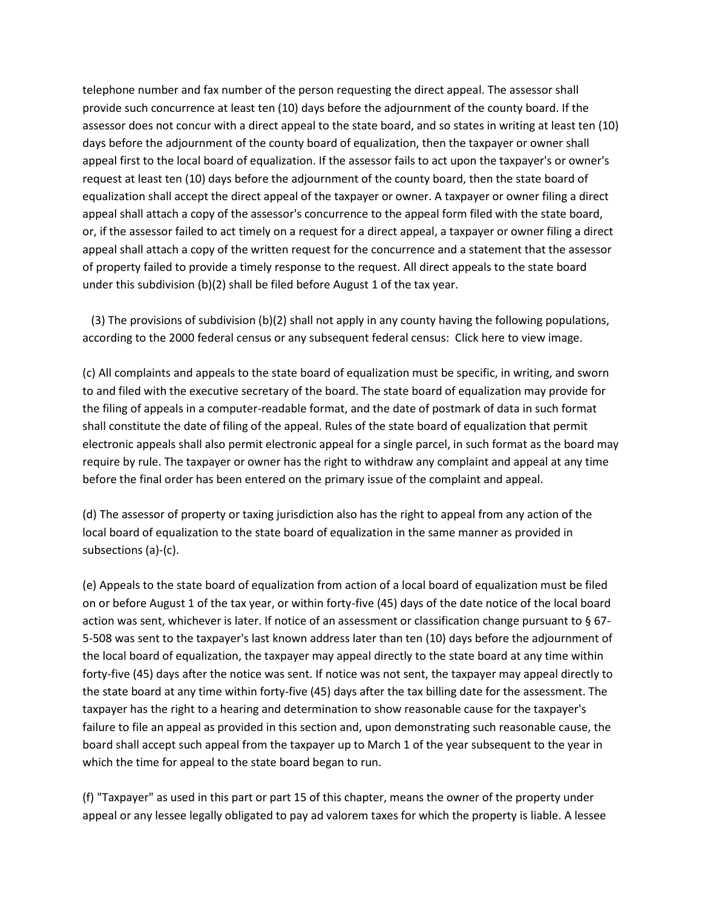telephone number and fax number of the person requesting the direct appeal. The assessor shall provide such concurrence at least ten (10) days before the adjournment of the county board. If the assessor does not concur with a direct appeal to the state board, and so states in writing at least ten (10) days before the adjournment of the county board of equalization, then the taxpayer or owner shall appeal first to the local board of equalization. If the assessor fails to act upon the taxpayer's or owner's request at least ten (10) days before the adjournment of the county board, then the state board of equalization shall accept the direct appeal of the taxpayer or owner. A taxpayer or owner filing a direct appeal shall attach a copy of the assessor's concurrence to the appeal form filed with the state board, or, if the assessor failed to act timely on a request for a direct appeal, a taxpayer or owner filing a direct appeal shall attach a copy of the written request for the concurrence and a statement that the assessor of property failed to provide a timely response to the request. All direct appeals to the state board under this subdivision (b)(2) shall be filed before August 1 of the tax year.

 (3) The provisions of subdivision (b)(2) shall not apply in any county having the following populations, according to the 2000 federal census or any subsequent federal census: Click here to view image.

(c) All complaints and appeals to the state board of equalization must be specific, in writing, and sworn to and filed with the executive secretary of the board. The state board of equalization may provide for the filing of appeals in a computer-readable format, and the date of postmark of data in such format shall constitute the date of filing of the appeal. Rules of the state board of equalization that permit electronic appeals shall also permit electronic appeal for a single parcel, in such format as the board may require by rule. The taxpayer or owner has the right to withdraw any complaint and appeal at any time before the final order has been entered on the primary issue of the complaint and appeal.

(d) The assessor of property or taxing jurisdiction also has the right to appeal from any action of the local board of equalization to the state board of equalization in the same manner as provided in subsections (a)-(c).

(e) Appeals to the state board of equalization from action of a local board of equalization must be filed on or before August 1 of the tax year, or within forty-five (45) days of the date notice of the local board action was sent, whichever is later. If notice of an assessment or classification change pursuant to § 67- 5-508 was sent to the taxpayer's last known address later than ten (10) days before the adjournment of the local board of equalization, the taxpayer may appeal directly to the state board at any time within forty-five (45) days after the notice was sent. If notice was not sent, the taxpayer may appeal directly to the state board at any time within forty-five (45) days after the tax billing date for the assessment. The taxpayer has the right to a hearing and determination to show reasonable cause for the taxpayer's failure to file an appeal as provided in this section and, upon demonstrating such reasonable cause, the board shall accept such appeal from the taxpayer up to March 1 of the year subsequent to the year in which the time for appeal to the state board began to run.

(f) "Taxpayer" as used in this part or part 15 of this chapter, means the owner of the property under appeal or any lessee legally obligated to pay ad valorem taxes for which the property is liable. A lessee